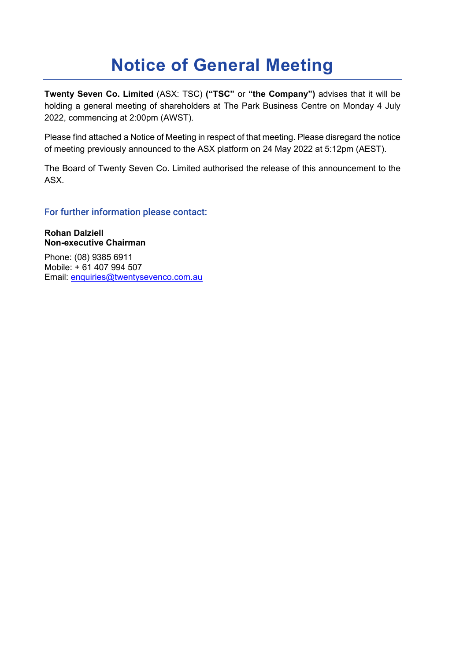# **Notice of General Meeting**

**Twenty Seven Co. Limited** (ASX: TSC) **("TSC"** or **"the Company")** advises that it will be holding a general meeting of shareholders at The Park Business Centre on Monday 4 July 2022, commencing at 2:00pm (AWST).

Please find attached a Notice of Meeting in respect of that meeting. Please disregard the notice of meeting previously announced to the ASX platform on 24 May 2022 at 5:12pm (AEST).

The Board of Twenty Seven Co. Limited authorised the release of this announcement to the ASX.

For further information please contact:

**Rohan Dalziell Non-executive Chairman**

Phone: (08) 9385 6911 Mobile: + 61 407 994 507 Email: [enquiries@twentysevenco.com.au](mailto:enquiries@twentysevenco.com.au)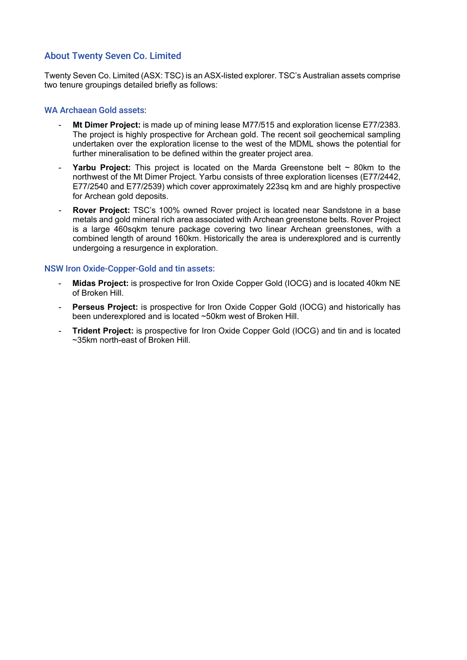## About Twenty Seven Co. Limited

Twenty Seven Co. Limited (ASX: TSC) is an ASX-listed explorer. TSC's Australian assets comprise two tenure groupings detailed briefly as follows:

#### WA Archaean Gold assets:

- **Mt Dimer Project:** is made up of mining lease M77/515 and exploration license E77/2383. The project is highly prospective for Archean gold. The recent soil geochemical sampling undertaken over the exploration license to the west of the MDML shows the potential for further mineralisation to be defined within the greater project area.
- **Yarbu Project:** This project is located on the Marda Greenstone belt  $\sim$  80km to the northwest of the Mt Dimer Project. Yarbu consists of three exploration licenses (E77/2442, E77/2540 and E77/2539) which cover approximately 223sq km and are highly prospective for Archean gold deposits.
- **Rover Project:** TSC's 100% owned Rover project is located near Sandstone in a base metals and gold mineral rich area associated with Archean greenstone belts. Rover Project is a large 460sqkm tenure package covering two linear Archean greenstones, with a combined length of around 160km. Historically the area is underexplored and is currently undergoing a resurgence in exploration.

### NSW Iron Oxide-Copper-Gold and tin assets:

- **Midas Project:** is prospective for Iron Oxide Copper Gold (IOCG) and is located 40km NE of Broken Hill.
- **Perseus Project:** is prospective for Iron Oxide Copper Gold (IOCG) and historically has been underexplored and is located ~50km west of Broken Hill.
- **Trident Project:** is prospective for Iron Oxide Copper Gold (IOCG) and tin and is located ~35km north-east of Broken Hill.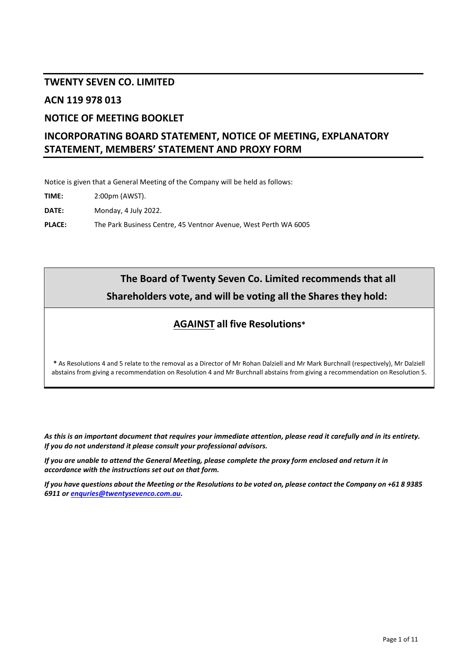# **TWENTY SEVEN CO. LIMITED**

## **ACN 119 978 013**

# **NOTICE OF MEETING BOOKLET**

# **INCORPORATING BOARD STATEMENT, NOTICE OF MEETING, EXPLANATORY STATEMENT, MEMBERS' STATEMENT AND PROXY FORM**

Notice is given that a General Meeting of the Company will be held as follows:

**TIME:** 2:00pm (AWST).

**DATE:** Monday, 4 July 2022.

**PLACE:** The Park Business Centre, 45 Ventnor Avenue, West Perth WA 6005

# **The Board of Twenty Seven Co. Limited recommends that all Shareholders vote, and will be voting all the Shares they hold:**

# **AGAINST all five Resolutions\***

**\*** As Resolutions [4](#page-6-0) an[d 5](#page-6-1) relate to the removal as a Director of Mr Rohan Dalziell and Mr Mark Burchnall (respectively), Mr Dalziell abstains from giving a recommendation on Resolutio[n 4](#page-6-0) and Mr Burchnall abstains from giving a recommendation on Resolutio[n 5.](#page-6-1)

*As this is an important document that requires your immediate attention, please read it carefully and in its entirety. If you do not understand it please consult your professional advisors.*

*If you are unable to attend the General Meeting, please complete the proxy form enclosed and return it in accordance with the instructions set out on that form.*

*If you have questions about the Meeting or the Resolutions to be voted on, please contact the Company on +61 8 9385 6911 or [enquries@twentysevenco.com.au.](mailto:enquries@twentysevenco.com.au)*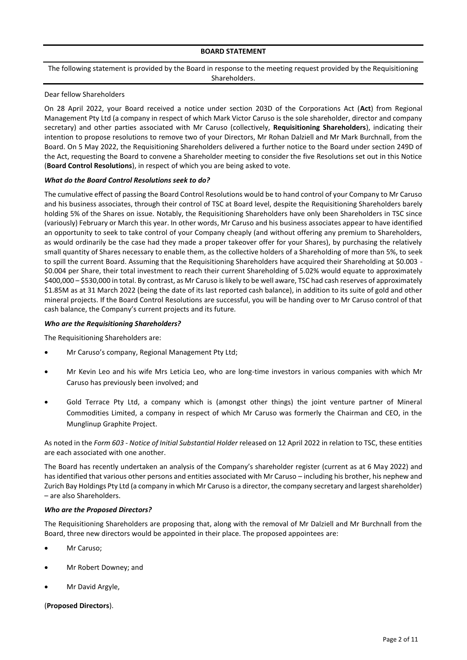#### **BOARD STATEMENT**

#### The following statement is provided by the Board in response to the meeting request provided by the Requisitioning Shareholders.

#### Dear fellow Shareholders

On 28 April 2022, your Board received a notice under section 203D of the Corporations Act (**Act**) from Regional Management Pty Ltd (a company in respect of which Mark Victor Caruso is the sole shareholder, director and company secretary) and other parties associated with Mr Caruso (collectively, **Requisitioning Shareholders**), indicating their intention to propose resolutions to remove two of your Directors, Mr Rohan Dalziell and Mr Mark Burchnall, from the Board. On 5 May 2022, the Requisitioning Shareholders delivered a further notice to the Board under section 249D of the Act, requesting the Board to convene a Shareholder meeting to consider the five Resolutions set out in this Notice (**Board Control Resolutions**), in respect of which you are being asked to vote.

#### *What do the Board Control Resolutions seek to do?*

The cumulative effect of passing the Board Control Resolutions would be to hand control of your Company to Mr Caruso and his business associates, through their control of TSC at Board level, despite the Requisitioning Shareholders barely holding 5% of the Shares on issue. Notably, the Requisitioning Shareholders have only been Shareholders in TSC since (variously) February or March this year. In other words, Mr Caruso and his business associates appear to have identified an opportunity to seek to take control of your Company cheaply (and without offering any premium to Shareholders, as would ordinarily be the case had they made a proper takeover offer for your Shares), by purchasing the relatively small quantity of Shares necessary to enable them, as the collective holders of a Shareholding of more than 5%, to seek to spill the current Board. Assuming that the Requisitioning Shareholders have acquired their Shareholding at \$0.003 - \$0.004 per Share, their total investment to reach their current Shareholding of 5.02% would equate to approximately \$400,000 – \$530,000 in total. By contrast, as Mr Caruso is likely to be well aware, TSC had cash reserves of approximately \$1.85M as at 31 March 2022 (being the date of its last reported cash balance), in addition to its suite of gold and other mineral projects. If the Board Control Resolutions are successful, you will be handing over to Mr Caruso control of that cash balance, the Company's current projects and its future.

#### *Who are the Requisitioning Shareholders?*

The Requisitioning Shareholders are:

- Mr Caruso's company, Regional Management Pty Ltd;
- Mr Kevin Leo and his wife Mrs Leticia Leo, who are long-time investors in various companies with which Mr Caruso has previously been involved; and
- Gold Terrace Pty Ltd, a company which is (amongst other things) the joint venture partner of Mineral Commodities Limited, a company in respect of which Mr Caruso was formerly the Chairman and CEO, in the Munglinup Graphite Project.

As noted in the *Form 603 - Notice of Initial Substantial Holder* released on 12 April 2022 in relation to TSC, these entities are each associated with one another.

The Board has recently undertaken an analysis of the Company's shareholder register (current as at 6 May 2022) and has identified that various other persons and entities associated with Mr Caruso – including his brother, his nephew and Zurich Bay Holdings Pty Ltd (a company in which Mr Caruso is a director, the company secretary and largest shareholder) – are also Shareholders.

#### *Who are the Proposed Directors?*

The Requisitioning Shareholders are proposing that, along with the removal of Mr Dalziell and Mr Burchnall from the Board, three new directors would be appointed in their place. The proposed appointees are:

- Mr Caruso:
- Mr Robert Downey; and
- Mr David Argyle,

#### (**Proposed Directors**).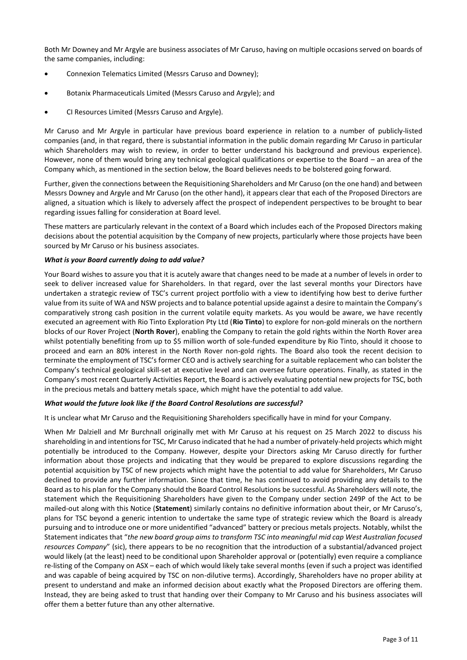Both Mr Downey and Mr Argyle are business associates of Mr Caruso, having on multiple occasions served on boards of the same companies, including:

- Connexion Telematics Limited (Messrs Caruso and Downey);
- Botanix Pharmaceuticals Limited (Messrs Caruso and Argyle); and
- CI Resources Limited (Messrs Caruso and Argyle).

Mr Caruso and Mr Argyle in particular have previous board experience in relation to a number of publicly-listed companies (and, in that regard, there is substantial information in the public domain regarding Mr Caruso in particular which Shareholders may wish to review, in order to better understand his background and previous experience). However, none of them would bring any technical geological qualifications or expertise to the Board – an area of the Company which, as mentioned in the section below, the Board believes needs to be bolstered going forward.

Further, given the connections between the Requisitioning Shareholders and Mr Caruso (on the one hand) and between Messrs Downey and Argyle and Mr Caruso (on the other hand), it appears clear that each of the Proposed Directors are aligned, a situation which is likely to adversely affect the prospect of independent perspectives to be brought to bear regarding issues falling for consideration at Board level.

These matters are particularly relevant in the context of a Board which includes each of the Proposed Directors making decisions about the potential acquisition by the Company of new projects, particularly where those projects have been sourced by Mr Caruso or his business associates.

#### *What is your Board currently doing to add value?*

Your Board wishes to assure you that it is acutely aware that changes need to be made at a number of levels in order to seek to deliver increased value for Shareholders. In that regard, over the last several months your Directors have undertaken a strategic review of TSC's current project portfolio with a view to identifying how best to derive further value from its suite of WA and NSW projects and to balance potential upside against a desire to maintain the Company's comparatively strong cash position in the current volatile equity markets. As you would be aware, we have recently executed an agreement with Rio Tinto Exploration Pty Ltd (**Rio Tinto**) to explore for non-gold minerals on the northern blocks of our Rover Project (**North Rover**), enabling the Company to retain the gold rights within the North Rover area whilst potentially benefiting from up to \$5 million worth of sole-funded expenditure by Rio Tinto, should it choose to proceed and earn an 80% interest in the North Rover non-gold rights. The Board also took the recent decision to terminate the employment of TSC's former CEO and is actively searching for a suitable replacement who can bolster the Company's technical geological skill-set at executive level and can oversee future operations. Finally, as stated in the Company's most recent Quarterly Activities Report, the Board is actively evaluating potential new projects for TSC, both in the precious metals and battery metals space, which might have the potential to add value.

#### *What would the future look like if the Board Control Resolutions are successful?*

It is unclear what Mr Caruso and the Requisitioning Shareholders specifically have in mind for your Company.

When Mr Dalziell and Mr Burchnall originally met with Mr Caruso at his request on 25 March 2022 to discuss his shareholding in and intentions for TSC, Mr Caruso indicated that he had a number of privately-held projects which might potentially be introduced to the Company. However, despite your Directors asking Mr Caruso directly for further information about those projects and indicating that they would be prepared to explore discussions regarding the potential acquisition by TSC of new projects which might have the potential to add value for Shareholders, Mr Caruso declined to provide any further information. Since that time, he has continued to avoid providing any details to the Board as to his plan for the Company should the Board Control Resolutions be successful. As Shareholders will note, the statement which the Requisitioning Shareholders have given to the Company under section 249P of the Act to be mailed-out along with this Notice (**Statement**) similarly contains no definitive information about their, or Mr Caruso's, plans for TSC beyond a generic intention to undertake the same type of strategic review which the Board is already pursuing and to introduce one or more unidentified "advanced" battery or precious metals projects. Notably, whilst the Statement indicates that "*the new board group aims to transform TSC into meaningful mid cap West Australian focused resources Company*" (sic), there appears to be no recognition that the introduction of a substantial/advanced project would likely (at the least) need to be conditional upon Shareholder approval or (potentially) even require a compliance re-listing of the Company on ASX – each of which would likely take several months (even if such a project was identified and was capable of being acquired by TSC on non-dilutive terms). Accordingly, Shareholders have no proper ability at present to understand and make an informed decision about exactly what the Proposed Directors are offering them. Instead, they are being asked to trust that handing over their Company to Mr Caruso and his business associates will offer them a better future than any other alternative.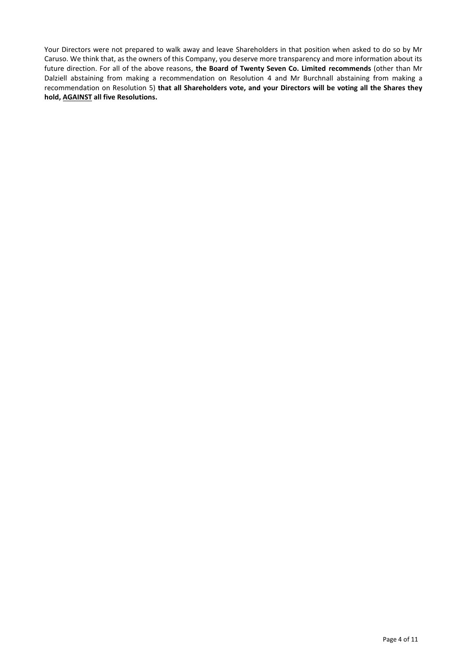Your Directors were not prepared to walk away and leave Shareholders in that position when asked to do so by Mr Caruso. We think that, as the owners of this Company, you deserve more transparency and more information about its future direction. For all of the above reasons, **the Board of Twenty Seven Co. Limited recommends** (other than Mr Dalziell abstaining from making a recommendation on Resolution [4](#page-6-0) and Mr Burchnall abstaining from making a recommendation on Resolution [5\)](#page-6-1) **that all Shareholders vote, and your Directors will be voting all the Shares they hold, AGAINST all five Resolutions.**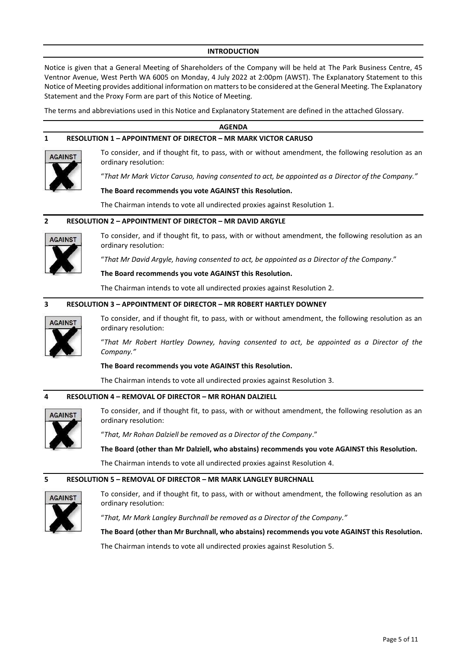#### **INTRODUCTION**

Notice is given that a General Meeting of Shareholders of the Company will be held at The Park Business Centre, 45 Ventnor Avenue, West Perth WA 6005 on Monday, 4 July 2022 at 2:00pm (AWST). The Explanatory Statement to this Notice of Meeting provides additional information on matters to be considered at the General Meeting. The Explanatory Statement and the Proxy Form are part of this Notice of Meeting.

The terms and abbreviations used in this Notice and Explanatory Statement are defined in the attached Glossary.

# <span id="page-6-3"></span><span id="page-6-2"></span>**AGENDA 1 RESOLUTION 1 – APPOINTMENT OF DIRECTOR – MR MARK VICTOR CARUSO** To consider, and if thought fit, to pass, with or without amendment, the following resolution as an **AGAINST** ordinary resolution: "*That Mr Mark Victor Caruso, having consented to act, be appointed as a Director of the Company."* **The Board recommends you vote AGAINST this Resolution.** The Chairman intends to vote all undirected proxies against Resolution [1.](#page-6-2) **2 RESOLUTION 2 – APPOINTMENT OF DIRECTOR – MR DAVID ARGYLE** To consider, and if thought fit, to pass, with or without amendment, the following resolution as an **AGAINST** ordinary resolution: "*That Mr David Argyle, having consented to act, be appointed as a Director of the Company*." **The Board recommends you vote AGAINST this Resolution.** The Chairman intends to vote all undirected proxies against Resolution [2.](#page-6-3) **3 RESOLUTION 3 – APPOINTMENT OF DIRECTOR – MR ROBERT HARTLEY DOWNEY** To consider, and if thought fit, to pass, with or without amendment, the following resolution as an **AGAINST** ordinary resolution: "*That Mr Robert Hartley Downey, having consented to act, be appointed as a Director of the Company."* **The Board recommends you vote AGAINST this Resolution.** The Chairman intends to vote all undirected proxies against Resolution [3.](#page-6-4) **4 RESOLUTION 4 – REMOVAL OF DIRECTOR – MR ROHAN DALZIELL** To consider, and if thought fit, to pass, with or without amendment, the following resolution as an **ACAINST** ordinary resolution:

<span id="page-6-4"></span><span id="page-6-0"></span>"*That, Mr Rohan Dalziell be removed as a Director of the Company*."

**The Board (other than Mr Dalziell, who abstains) recommends you vote AGAINST this Resolution.**

The Chairman intends to vote all undirected proxies against Resolution [4.](#page-6-0)

### <span id="page-6-1"></span>**5 RESOLUTION 5 – REMOVAL OF DIRECTOR – MR MARK LANGLEY BURCHNALL**



To consider, and if thought fit, to pass, with or without amendment, the following resolution as an ordinary resolution:

"*That, Mr Mark Langley Burchnall be removed as a Director of the Company."*

**The Board (other than Mr Burchnall, who abstains) recommends you vote AGAINST this Resolution.**

The Chairman intends to vote all undirected proxies against Resolution [5.](#page-6-1)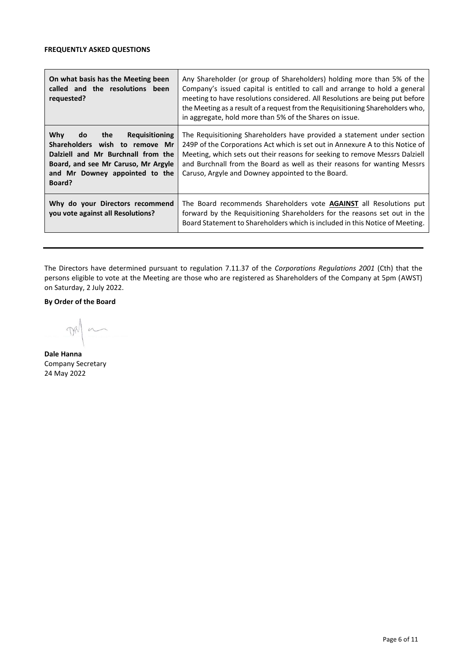| On what basis has the Meeting been<br>called and the resolutions been<br>requested?                                                                                                                  | Any Shareholder (or group of Shareholders) holding more than 5% of the<br>Company's issued capital is entitled to call and arrange to hold a general<br>meeting to have resolutions considered. All Resolutions are being put before<br>the Meeting as a result of a request from the Requisitioning Shareholders who,<br>in aggregate, hold more than 5% of the Shares on issue. |  |  |
|------------------------------------------------------------------------------------------------------------------------------------------------------------------------------------------------------|-----------------------------------------------------------------------------------------------------------------------------------------------------------------------------------------------------------------------------------------------------------------------------------------------------------------------------------------------------------------------------------|--|--|
| Why<br><b>Requisitioning</b><br>do<br>the<br>Shareholders wish to remove Mr<br>Dalziell and Mr Burchnall from the<br>Board, and see Mr Caruso, Mr Argyle<br>and Mr Downey appointed to the<br>Board? | The Requisitioning Shareholders have provided a statement under section<br>249P of the Corporations Act which is set out in Annexure A to this Notice of<br>Meeting, which sets out their reasons for seeking to remove Messrs Dalziell<br>and Burchnall from the Board as well as their reasons for wanting Messrs<br>Caruso, Argyle and Downey appointed to the Board.          |  |  |
| Why do your Directors recommend<br>you vote against all Resolutions?                                                                                                                                 | The Board recommends Shareholders vote <b>AGAINST</b> all Resolutions put<br>forward by the Requisitioning Shareholders for the reasons set out in the<br>Board Statement to Shareholders which is included in this Notice of Meeting.                                                                                                                                            |  |  |

The Directors have determined pursuant to regulation 7.11.37 of the *Corporations Regulations 2001* (Cth) that the persons eligible to vote at the Meeting are those who are registered as Shareholders of the Company at 5pm (AWST) on Saturday, 2 July 2022.

**By Order of the Board**

DR  $\sim$ 

**Dale Hanna** Company Secretary 24 May 2022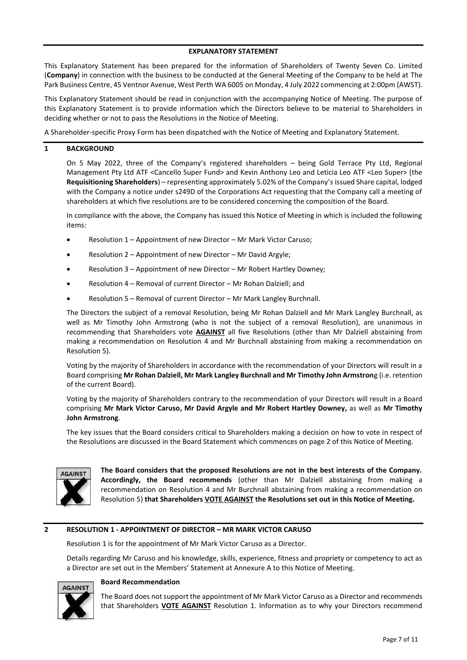#### **EXPLANATORY STATEMENT**

This Explanatory Statement has been prepared for the information of Shareholders of Twenty Seven Co. Limited (**Company**) in connection with the business to be conducted at the General Meeting of the Company to be held at The Park Business Centre, 45 Ventnor Avenue, West Perth WA 6005 on Monday, 4 July 2022 commencing at 2:00pm (AWST).

This Explanatory Statement should be read in conjunction with the accompanying Notice of Meeting. The purpose of this Explanatory Statement is to provide information which the Directors believe to be material to Shareholders in deciding whether or not to pass the Resolutions in the Notice of Meeting.

A Shareholder-specific Proxy Form has been dispatched with the Notice of Meeting and Explanatory Statement.

#### **1 BACKGROUND**

On 5 May 2022, three of the Company's registered shareholders – being Gold Terrace Pty Ltd, Regional Management Pty Ltd ATF <Cancello Super Fund> and Kevin Anthony Leo and Leticia Leo ATF <Leo Super> (the **Requisitioning Shareholders**) – representing approximately 5.02% of the Company's issued Share capital, lodged with the Company a notice under s249D of the Corporations Act requesting that the Company call a meeting of shareholders at which five resolutions are to be considered concerning the composition of the Board.

In compliance with the above, the Company has issued this Notice of Meeting in which is included the following items:

- Resolution 1 Appointment of new Director Mr Mark Victor Caruso;
- Resolution 2 Appointment of new Director Mr David Argyle;
- Resolution 3 Appointment of new Director Mr Robert Hartley Downey;
- Resolution 4 Removal of current Director Mr Rohan Dalziell; and
- Resolution 5 Removal of current Director Mr Mark Langley Burchnall.

The Directors the subject of a removal Resolution, being Mr Rohan Dalziell and Mr Mark Langley Burchnall, as well as Mr Timothy John Armstrong (who is not the subject of a removal Resolution), are unanimous in recommending that Shareholders vote **AGAINST** all five Resolutions (other than Mr Dalziell abstaining from making a recommendation on Resolution [4](#page-6-0) and Mr Burchnall abstaining from making a recommendation on Resolutio[n 5\)](#page-6-1).

Voting by the majority of Shareholders in accordance with the recommendation of your Directors will result in a Board comprising **Mr Rohan Dalziell, Mr Mark Langley Burchnall and Mr Timothy John Armstron**g (i.e. retention of the current Board).

Voting by the majority of Shareholders contrary to the recommendation of your Directors will result in a Board comprising **Mr Mark Victor Caruso, Mr David Argyle and Mr Robert Hartley Downey,** as well as **Mr Timothy John Armstrong**.

The key issues that the Board considers critical to Shareholders making a decision on how to vote in respect of the Resolutions are discussed in the Board Statement which commences on page 2 of this Notice of Meeting.



**The Board considers that the proposed Resolutions are not in the best interests of the Company. Accordingly, the Board recommends** (other than Mr Dalziell abstaining from making a recommendation on Resolution [4](#page-6-0) and Mr Burchnall abstaining from making a recommendation on Resolution [5\)](#page-6-1) **that Shareholders VOTE AGAINST the Resolutions set out in this Notice of Meeting.**

#### **2 RESOLUTION [1](#page-6-2) - APPOINTMENT OF DIRECTOR – MR MARK VICTOR CARUSO**

Resolutio[n 1](#page-6-2) is for the appointment of Mr Mark Victor Caruso as a Director.

Details regarding Mr Caruso and his knowledge, skills, experience, fitness and propriety or competency to act as a Director are set out in the Members' Statement at Annexure A to this Notice of Meeting.



#### **Board Recommendation**

The Board does not support the appointment of Mr Mark Victor Caruso as a Director and recommends that Shareholders **VOTE AGAINST** Resolution [1.](#page-6-2) Information as to why your Directors recommend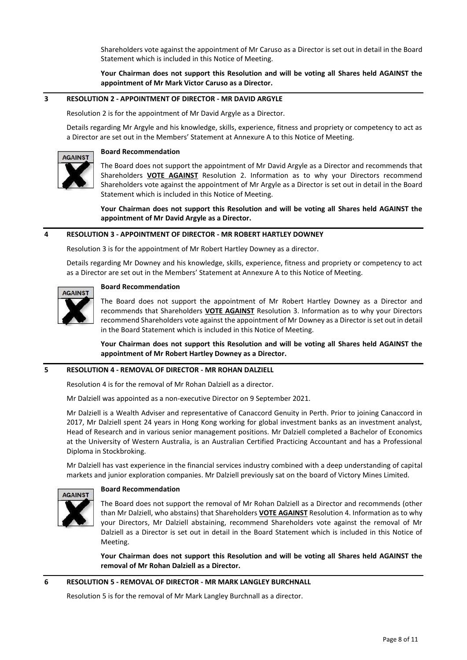Shareholders vote against the appointment of Mr Caruso as a Director is set out in detail in the Board Statement which is included in this Notice of Meeting.

**Your Chairman does not support this Resolution and will be voting all Shares held AGAINST the appointment of Mr Mark Victor Caruso as a Director.**

#### **3 RESOLUTION [2](#page-6-3) - APPOINTMENT OF DIRECTOR - MR DAVID ARGYLE**

Resolutio[n 2](#page-6-3) is for the appointment of Mr David Argyle as a Director.

Details regarding Mr Argyle and his knowledge, skills, experience, fitness and propriety or competency to act as a Director are set out in the Members' Statement at Annexure A to this Notice of Meeting.

#### **Board Recommendation AGAINST**

The Board does not support the appointment of Mr David Argyle as a Director and recommends that Shareholders **VOTE AGAINST** Resolution [2.](#page-6-3) Information as to why your Directors recommend Shareholders vote against the appointment of Mr Argyle as a Director is set out in detail in the Board Statement which is included in this Notice of Meeting.

**Your Chairman does not support this Resolution and will be voting all Shares held AGAINST the appointment of Mr David Argyle as a Director.**

#### **4 RESOLUTION [3](#page-6-4) - APPOINTMENT OF DIRECTOR - MR ROBERT HARTLEY DOWNEY**

Resolutio[n 3](#page-6-4) is for the appointment of Mr Robert Hartley Downey as a director.

Details regarding Mr Downey and his knowledge, skills, experience, fitness and propriety or competency to act as a Director are set out in the Members' Statement at Annexure A to this Notice of Meeting.



#### **Board Recommendation**

The Board does not support the appointment of Mr Robert Hartley Downey as a Director and recommends that Shareholders **VOTE AGAINST** Resolution [3.](#page-6-4) Information as to why your Directors recommend Shareholders vote against the appointment of Mr Downey as a Director is set out in detail in the Board Statement which is included in this Notice of Meeting.

**Your Chairman does not support this Resolution and will be voting all Shares held AGAINST the appointment of Mr Robert Hartley Downey as a Director.**

#### **5 RESOLUTION [4](#page-6-0) - REMOVAL OF DIRECTOR - MR ROHAN DALZIELL**

Resolution [4](#page-6-0) is for the removal of Mr Rohan Dalziell as a director.

Mr Dalziell was appointed as a non-executive Director on 9 September 2021.

Mr Dalziell is a Wealth Adviser and representative of Canaccord Genuity in Perth. Prior to joining Canaccord in 2017, Mr Dalziell spent 24 years in Hong Kong working for global investment banks as an investment analyst, Head of Research and in various senior management positions. Mr Dalziell completed a Bachelor of Economics at the University of Western Australia, is an Australian Certified Practicing Accountant and has a Professional Diploma in Stockbroking.

Mr Dalziell has vast experience in the financial services industry combined with a deep understanding of capital markets and junior exploration companies. Mr Dalziell previously sat on the board of Victory Mines Limited.



#### **Board Recommendation**

The Board does not support the removal of Mr Rohan Dalziell as a Director and recommends (other than Mr Dalziell, who abstains) that Shareholders **VOTE AGAINST** Resolution [4.](#page-6-0) Information as to why your Directors, Mr Dalziell abstaining, recommend Shareholders vote against the removal of Mr Dalziell as a Director is set out in detail in the Board Statement which is included in this Notice of Meeting.

**Your Chairman does not support this Resolution and will be voting all Shares held AGAINST the removal of Mr Rohan Dalziell as a Director.**

#### **6 RESOLUTION [5](#page-6-1) - REMOVAL OF DIRECTOR - MR MARK LANGLEY BURCHNALL**

Resolution [5](#page-6-1) is for the removal of Mr Mark Langley Burchnall as a director.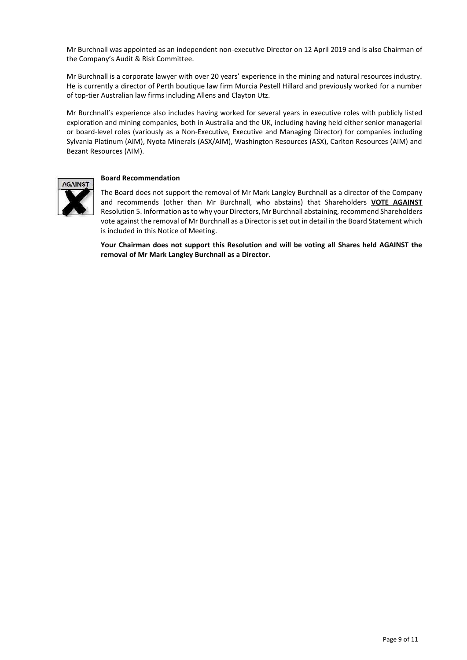Mr Burchnall was appointed as an independent non-executive Director on 12 April 2019 and is also Chairman of the Company's Audit & Risk Committee.

Mr Burchnall is a corporate lawyer with over 20 years' experience in the mining and natural resources industry. He is currently a director of Perth boutique law firm Murcia Pestell Hillard and previously worked for a number of top-tier Australian law firms including Allens and Clayton Utz.

Mr Burchnall's experience also includes having worked for several years in executive roles with publicly listed exploration and mining companies, both in Australia and the UK, including having held either senior managerial or board-level roles (variously as a Non-Executive, Executive and Managing Director) for companies including Sylvania Platinum (AIM), Nyota Minerals (ASX/AIM), Washington Resources (ASX), Carlton Resources (AIM) and Bezant Resources (AIM).



#### **Board Recommendation**

The Board does not support the removal of Mr Mark Langley Burchnall as a director of the Company and recommends (other than Mr Burchnall, who abstains) that Shareholders **VOTE AGAINST** Resolutio[n 5.](#page-6-1) Information as to why your Directors, Mr Burchnall abstaining, recommend Shareholders vote against the removal of Mr Burchnall as a Director is set out in detail in the Board Statement which is included in this Notice of Meeting.

**Your Chairman does not support this Resolution and will be voting all Shares held AGAINST the removal of Mr Mark Langley Burchnall as a Director.**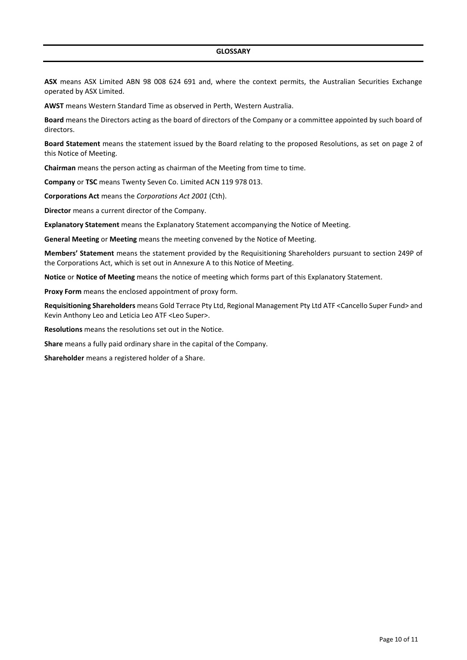**ASX** means ASX Limited ABN 98 008 624 691 and, where the context permits, the Australian Securities Exchange operated by ASX Limited.

**AWST** means Western Standard Time as observed in Perth, Western Australia.

**Board** means the Directors acting as the board of directors of the Company or a committee appointed by such board of directors.

**Board Statement** means the statement issued by the Board relating to the proposed Resolutions, as set on page 2 of this Notice of Meeting.

**Chairman** means the person acting as chairman of the Meeting from time to time.

**Company** or **TSC** means Twenty Seven Co. Limited ACN 119 978 013.

**Corporations Act** means the *Corporations Act 2001* (Cth).

**Director** means a current director of the Company.

**Explanatory Statement** means the Explanatory Statement accompanying the Notice of Meeting.

**General Meeting** or **Meeting** means the meeting convened by the Notice of Meeting.

**Members' Statement** means the statement provided by the Requisitioning Shareholders pursuant to section 249P of the Corporations Act, which is set out in Annexure A to this Notice of Meeting.

**Notice** or **Notice of Meeting** means the notice of meeting which forms part of this Explanatory Statement.

**Proxy Form** means the enclosed appointment of proxy form.

**Requisitioning Shareholders** means Gold Terrace Pty Ltd, Regional Management Pty Ltd ATF <Cancello Super Fund> and Kevin Anthony Leo and Leticia Leo ATF <Leo Super>.

**Resolutions** means the resolutions set out in the Notice.

**Share** means a fully paid ordinary share in the capital of the Company.

**Shareholder** means a registered holder of a Share.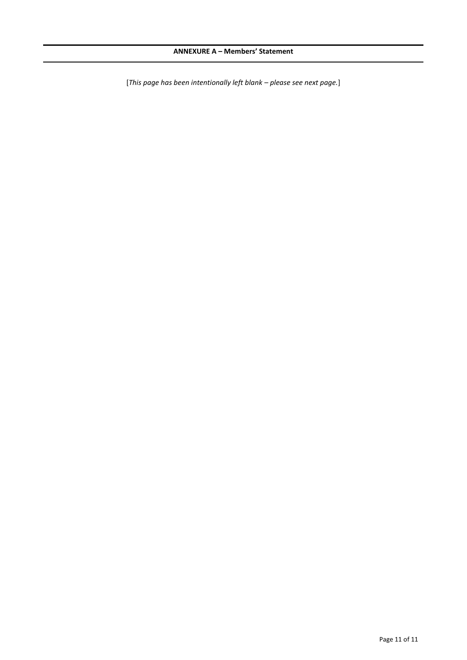[*This page has been intentionally left blank – please see next page.*]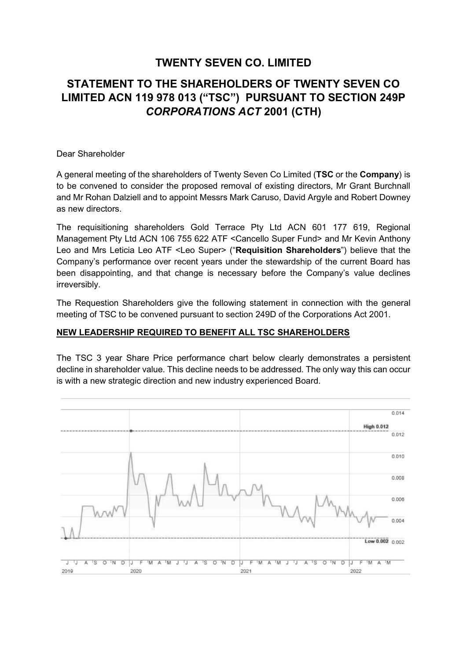# **TWENTY SEVEN CO. LIMITED**

# **STATEMENT TO THE SHAREHOLDERS OF TWENTY SEVEN CO LIMITED ACN 119 978 013 ("TSC") PURSUANT TO SECTION 249P**  *CORPORATIONS ACT* **2001 (CTH)**

### Dear Shareholder

A general meeting of the shareholders of Twenty Seven Co Limited (**TSC** or the **Company**) is to be convened to consider the proposed removal of existing directors, Mr Grant Burchnall and Mr Rohan Dalziell and to appoint Messrs Mark Caruso, David Argyle and Robert Downey as new directors.

The requisitioning shareholders Gold Terrace Pty Ltd ACN 601 177 619, Regional Management Pty Ltd ACN 106 755 622 ATF <Cancello Super Fund> and Mr Kevin Anthony Leo and Mrs Leticia Leo ATF <Leo Super> ("**Requisition Shareholders**") believe that the Company's performance over recent years under the stewardship of the current Board has been disappointing, and that change is necessary before the Company's value declines irreversibly.

The Requestion Shareholders give the following statement in connection with the general meeting of TSC to be convened pursuant to section 249D of the Corporations Act 2001.

### **NEW LEADERSHIP REQUIRED TO BENEFIT ALL TSC SHAREHOLDERS**

The TSC 3 year Share Price performance chart below clearly demonstrates a persistent decline in shareholder value. This decline needs to be addressed. The only way this can occur is with a new strategic direction and new industry experienced Board.

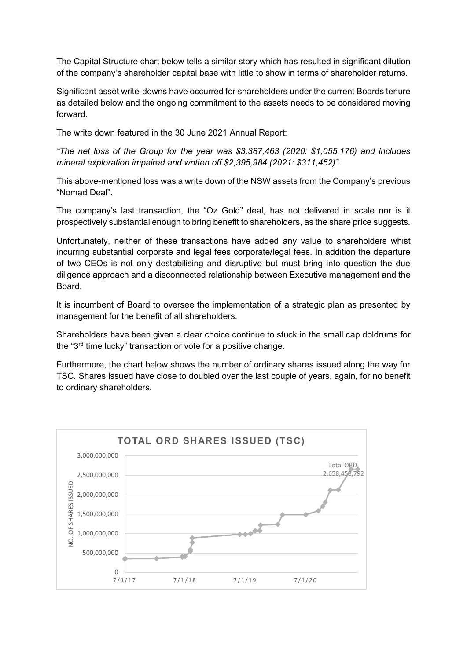The Capital Structure chart below tells a similar story which has resulted in significant dilution of the company's shareholder capital base with little to show in terms of shareholder returns.

Significant asset write-downs have occurred for shareholders under the current Boards tenure as detailed below and the ongoing commitment to the assets needs to be considered moving forward.

The write down featured in the 30 June 2021 Annual Report:

*"The net loss of the Group for the year was \$3,387,463 (2020: \$1,055,176) and includes mineral exploration impaired and written off \$2,395,984 (2021: \$311,452)".*

This above-mentioned loss was a write down of the NSW assets from the Company's previous "Nomad Deal".

The company's last transaction, the "Oz Gold" deal, has not delivered in scale nor is it prospectively substantial enough to bring benefit to shareholders, as the share price suggests.

Unfortunately, neither of these transactions have added any value to shareholders whist incurring substantial corporate and legal fees corporate/legal fees. In addition the departure of two CEOs is not only destabilising and disruptive but must bring into question the due diligence approach and a disconnected relationship between Executive management and the Board.

It is incumbent of Board to oversee the implementation of a strategic plan as presented by management for the benefit of all shareholders.

Shareholders have been given a clear choice continue to stuck in the small cap doldrums for the "3rd time lucky" transaction or vote for a positive change.

Furthermore, the chart below shows the number of ordinary shares issued along the way for TSC. Shares issued have close to doubled over the last couple of years, again, for no benefit to ordinary shareholders.

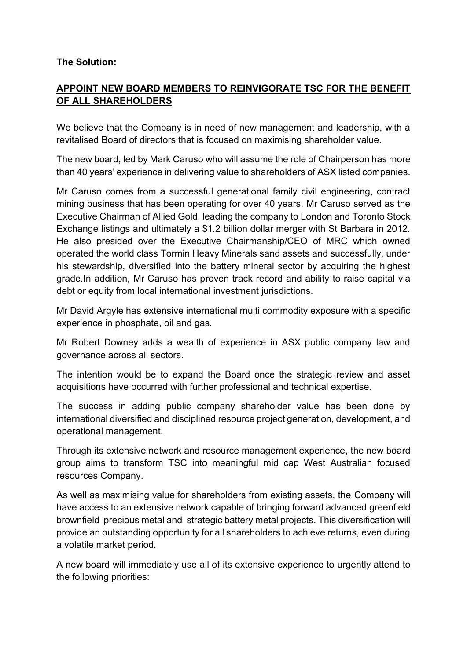# **The Solution:**

# **APPOINT NEW BOARD MEMBERS TO REINVIGORATE TSC FOR THE BENEFIT OF ALL SHAREHOLDERS**

We believe that the Company is in need of new management and leadership, with a revitalised Board of directors that is focused on maximising shareholder value.

The new board, led by Mark Caruso who will assume the role of Chairperson has more than 40 years' experience in delivering value to shareholders of ASX listed companies.

Mr Caruso comes from a successful generational family civil engineering, contract mining business that has been operating for over 40 years. Mr Caruso served as the Executive Chairman of Allied Gold, leading the company to London and Toronto Stock Exchange listings and ultimately a \$1.2 billion dollar merger with St Barbara in 2012. He also presided over the Executive Chairmanship/CEO of MRC which owned operated the world class Tormin Heavy Minerals sand assets and successfully, under his stewardship, diversified into the battery mineral sector by acquiring the highest grade.In addition, Mr Caruso has proven track record and ability to raise capital via debt or equity from local international investment jurisdictions.

Mr David Argyle has extensive international multi commodity exposure with a specific experience in phosphate, oil and gas.

Mr Robert Downey adds a wealth of experience in ASX public company law and governance across all sectors.

The intention would be to expand the Board once the strategic review and asset acquisitions have occurred with further professional and technical expertise.

The success in adding public company shareholder value has been done by international diversified and disciplined resource project generation, development, and operational management.

Through its extensive network and resource management experience, the new board group aims to transform TSC into meaningful mid cap West Australian focused resources Company.

As well as maximising value for shareholders from existing assets, the Company will have access to an extensive network capable of bringing forward advanced greenfield brownfield precious metal and strategic battery metal projects. This diversification will provide an outstanding opportunity for all shareholders to achieve returns, even during a volatile market period.

A new board will immediately use all of its extensive experience to urgently attend to the following priorities: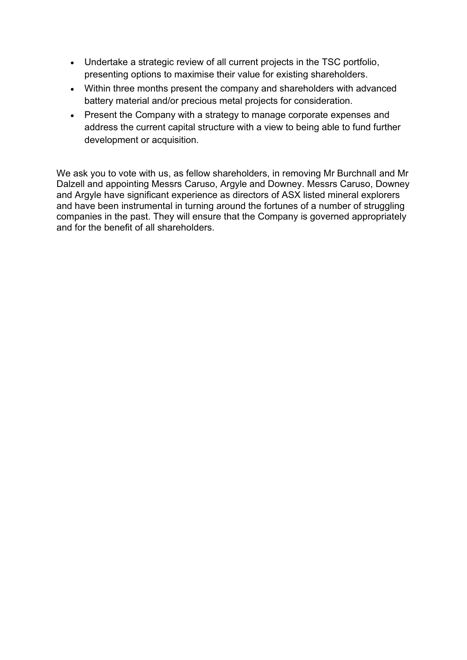- Undertake a strategic review of all current projects in the TSC portfolio, presenting options to maximise their value for existing shareholders.
- Within three months present the company and shareholders with advanced battery material and/or precious metal projects for consideration.
- Present the Company with a strategy to manage corporate expenses and address the current capital structure with a view to being able to fund further development or acquisition.

We ask you to vote with us, as fellow shareholders, in removing Mr Burchnall and Mr Dalzell and appointing Messrs Caruso, Argyle and Downey. Messrs Caruso, Downey and Argyle have significant experience as directors of ASX listed mineral explorers and have been instrumental in turning around the fortunes of a number of struggling companies in the past. They will ensure that the Company is governed appropriately and for the benefit of all shareholders.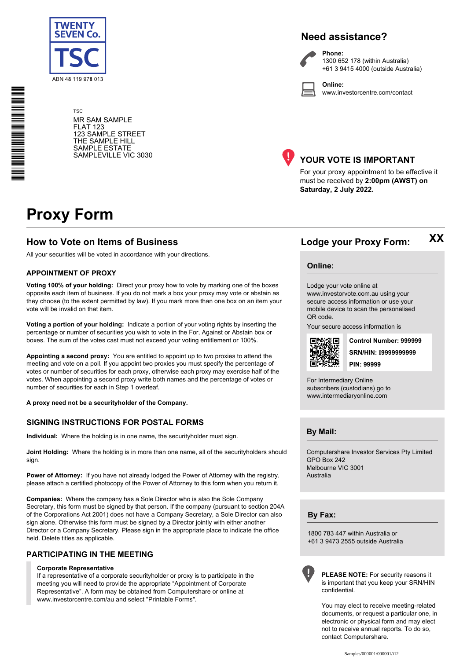

**Need assistance?**



**Phone:** 1300 652 178 (within Australia) +61 3 9415 4000 (outside Australia)

**Online:** www.investorcentre.com/contact

TSC MR SAM SAMPLE FLAT 123 123 SAMPLE STREET THE SAMPLE HILL SAMPLE ESTATE SAMPLEVILLE VIC 3030



## **YOUR VOTE IS IMPORTANT**

For your proxy appointment to be effective it must be received by **2:00pm (AWST) on Saturday, 2 July 2022.**

# **Proxy Form**

### **How to Vote on Items of Business Lodge your Proxy Form:**

All your securities will be voted in accordance with your directions.

#### **APPOINTMENT OF PROXY**

**Voting 100% of your holding:** Direct your proxy how to vote by marking one of the boxes opposite each item of business. If you do not mark a box your proxy may vote or abstain as they choose (to the extent permitted by law). If you mark more than one box on an item your vote will be invalid on that item.

**Voting a portion of your holding:** Indicate a portion of your voting rights by inserting the percentage or number of securities you wish to vote in the For, Against or Abstain box or boxes. The sum of the votes cast must not exceed your voting entitlement or 100%.

**Appointing a second proxy:** You are entitled to appoint up to two proxies to attend the meeting and vote on a poll. If you appoint two proxies you must specify the percentage of votes or number of securities for each proxy, otherwise each proxy may exercise half of the votes. When appointing a second proxy write both names and the percentage of votes or number of securities for each in Step 1 overleaf.

**A proxy need not be a securityholder of the Company.**

#### **SIGNING INSTRUCTIONS FOR POSTAL FORMS**

**Individual:** Where the holding is in one name, the securityholder must sign.

**Joint Holding:** Where the holding is in more than one name, all of the securityholders should sign.

Power of Attorney: If you have not already lodged the Power of Attorney with the registry, please attach a certified photocopy of the Power of Attorney to this form when you return it.

**Companies:** Where the company has a Sole Director who is also the Sole Company Secretary, this form must be signed by that person. If the company (pursuant to section 204A of the Corporations Act 2001) does not have a Company Secretary, a Sole Director can also sign alone. Otherwise this form must be signed by a Director jointly with either another Director or a Company Secretary. Please sign in the appropriate place to indicate the office held. Delete titles as applicable.

#### **PARTICIPATING IN THE MEETING**

#### **Corporate Representative**

If a representative of a corporate securityholder or proxy is to participate in the meeting you will need to provide the appropriate "Appointment of Corporate Representative". A form may be obtained from Computershare or online at www.investorcentre.com/au and select "Printable Forms".

**XX**

#### **Online:**

Lodge your vote online at

www.investorvote.com.au using your secure access information or use your mobile device to scan the personalised QR code.

Your secure access information is



**SRN/HIN: I9999999999 Control Number: 999999 PIN: 99999**

For Intermediary Online subscribers (custodians) go to www.intermediaryonline.com

**By Mail:**

Computershare Investor Services Pty Limited GPO Box 242 Melbourne VIC 3001 Australia

**By Fax:**

1800 783 447 within Australia or +61 3 9473 2555 outside Australia



**PLEASE NOTE:** For security reasons it is important that you keep your SRN/HIN confidential.

You may elect to receive meeting-related documents, or request a particular one, in electronic or physical form and may elect not to receive annual reports. To do so, contact Computershare.

\* S0000112<br>S0000112<br>S0000112